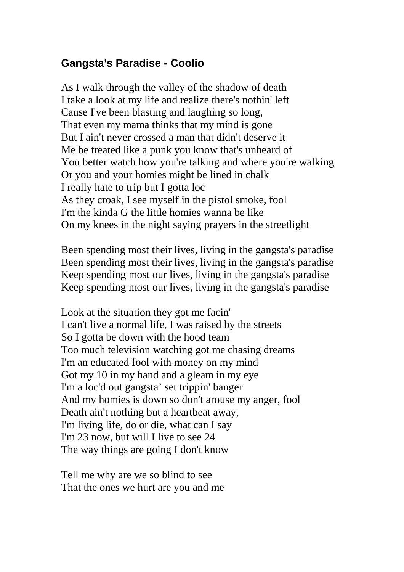## **Gangsta's Paradise - Coolio**

As I walk through the valley of the shadow of death I take a look at my life and realize there's nothin' left Cause I've been blasting and laughing so long, That even my mama thinks that my mind is gone But I ain't never crossed a man that didn't deserve it Me be treated like a punk you know that's unheard of You better watch how you're talking and where you're walking Or you and your homies might be lined in chalk I really hate to trip but I gotta loc As they croak, I see myself in the pistol smoke, fool I'm the kinda G the little homies wanna be like On my knees in the night saying prayers in the streetlight

Been spending most their lives, living in the gangsta's paradise Been spending most their lives, living in the gangsta's paradise Keep spending most our lives, living in the gangsta's paradise Keep spending most our lives, living in the gangsta's paradise

Look at the situation they got me facin' I can't live a normal life, I was raised by the streets So I gotta be down with the hood team Too much television watching got me chasing dreams I'm an educated fool with money on my mind Got my 10 in my hand and a gleam in my eye I'm a loc'd out gangsta' set trippin' banger And my homies is down so don't arouse my anger, fool Death ain't nothing but a heartbeat away, I'm living life, do or die, what can I say I'm 23 now, but will I live to see 24 The way things are going I don't know

Tell me why are we so blind to see That the ones we hurt are you and me